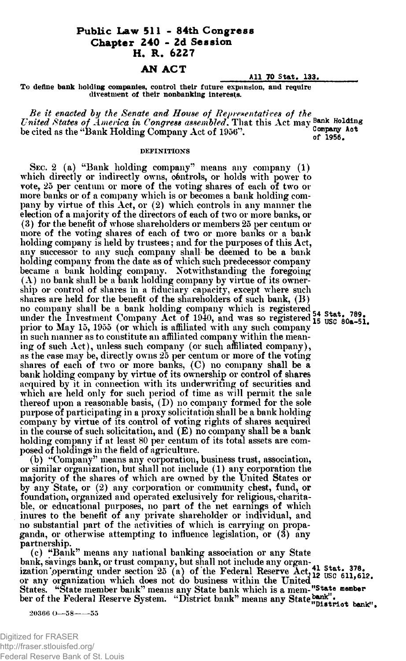# Public Law 511 - 84th Congress Chapter 240 - 2d Session H. R. 6227

# AN ACT

## \_\_\_\_\_\_\_ All 70 Stat. 133.

**To define bank holding companies, control their future expansion, and require divestment of their nonbanking interests.**

*Be it enacted by the Senate and House of Representatives of the United States of America in Congress assembled*. That this Act may sank Holding be cited as the "Bank Holding Company Act of 1956". **The company Act of AOS** 

### **DEFINITIONS**

**S ec. 2 (a) "Bank holding company" means any company (1) which directly or indirectly owns, o6ntrols, or holds with power to vote, 25 per centum or more of the voting shares of each of two or more banks or of a company which is or becomes a bank holding company by virtue of this Act, or (2) which controls in any manner the election of a majority of the directors of each of two or more banks, or (3) for the benefit oi whose shareholders or members 25 per centum or more of the voting shares of each of two or more banks or a bank holding company is held by trustees; and for the purposes of this Act, any successor to any such company shall be deemed to be a bank holding company from the date as of which such predecessor company became a bank holding company. Notwithstanding the foregoing (A) no bank shall be a bank holding company by virtue of its ownership or control of shares in a fiduciary capacity, except where such shares are held for the benefit of the shareholders of such bank, (B) no company shall be a bank holding company which is registered** under the Investment Company Act of 1940, and was so registered is use apa-51 **prior to May 15, 1955 (or which is affiliated with any such company in such manner as to constitute an affiliated company within the meaning of such Act), unless such company (or such affiliated company), as the case may be, directly owns 25 per centum or more of the voting shares of each of two or more banks, (C) no company shall be a bank holding company by virtue of its ownership or control of shares acquired by it in connection w ith its underwriting of securities and which are held only for such period of time as will permit the sale thereof upon a reasonable basis, (D) no company formed for the sole purpose of participating in a proxy solicitation shall be a bank holding company by virtue of its control of voting rights of shares acquired in the course of such solicitation, and (E) no company shall be a bank holding company if at least 80 per centum of its total assets are composed of holdings in the field of agriculture.**

**(b) "Company" means any corporation, business trust, association, or similar organization, but shall not include (1) any corporation the majority of the shares of which are owned by the United States or by any State, or (2) any corporation or community chest, fund, or foundation, organized and operated exclusively for religious, charitable, or educational purposes, no part of the net earnings of which inures to the benefit of any private shareholder or individual, and no substantial part of the activities of which is carrying on propaganda, or otherwise attempting to influence legislation, or (3) any partnership.**

**(c) "Bank" means any national banking association or any State bank, savings bank, or trust company, but shall not include any organ**ization operating under section 25 **(a)** of the Federal Reserve Act,<sup>41</sup>, use 611,6.10 **or any organization which does not do business within the Unitea** *9* States. "State member bank" means any State bank which is a mem-"<sup>state</sup> member<br>ber of the Federal Reserve System. "District bank" means any State <mark>"pistri</mark>ot bank"

**20366 O— 58--------55**

Digitized for FRASER http://fraser.stlouisfed.org/ Federal Reserve Bank of St. Louis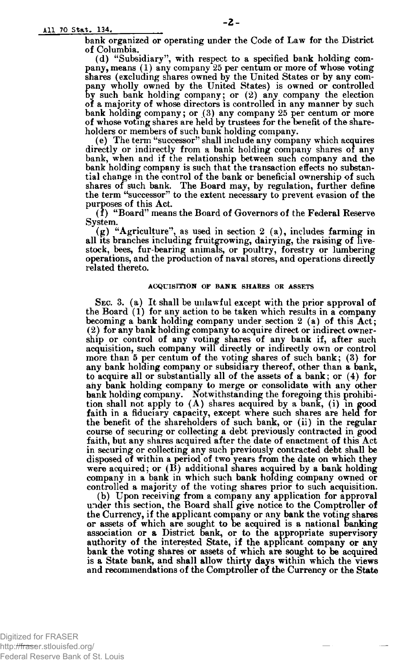**(d) "Subsidiary", with respect to a specified bank holding company, means (1) any company 25 per centum or more of whose voting** shares (excluding shares owned by the United States or by any company wholly owned by the United States) is owned or controlled<br>by such bank holding company; or (2) any company the election **any wholly owned by the United States) is owned or controlled of a majority of whose directors is controlled in any manner by such bank holding company; or (3) any company 25 per centum or more of whose voting shares are held by trustees for the Denefit of the shareholders or members of such bank holding company.**

**(e) The term "successor" shall include any company which acquires directly or indirectly from a bank holding company shares of any** bank, when and if the relationship between such company and the **bank holding company is such that the transaction effects no substantial change in the control of the bank or beneficial ownership of such shares of such bank. The Board may, by regulation, further define the term "successor" to the extent necessary to prevent evasion of the purposes of this Act.**

**(f) "Board" means the Board of Governors of the Federal Reserve System.**

**(g) "Agriculture", as used in section 2 (a), includes farming in all its branches including fruitgrowing, dairying, the raising of livestock, bees, fur-bearing animals, or poultry, forestry or lumbering operations, and the production of naval stores, and operations directly related thereto.**

#### **ACQUISITION OF BANK SHARES OR ASSETS**

**S ec. 3. (a) It shall be unlawful except with the prior approval of the Board (1) for any action to be taken which results in a company becoming a bank holding company under section 2 (a) of this Act; (2) for any bank holding company to acquire direct or indirect ownership or control of any voting shares of any bank if, after such acquisition, such company will directly or indirectly own or control more than 5 per centum of the voting shares of such bank; (3) for any bank holding company or subsidiary thereof, other than a bank, to acquire all or substantially all of the assets of a bank; or (4) for** any bank holding company to merge or consolidate with any other **bank holding company. Notwithstanding the foregoing this prohibi**tion shall not apply to (A) shares acquired by a bank, (i) in good **faith in a fiduciary capacity, except where such shares are held for the benefit of the shareholders of such bank, or (ii) in the regular course of securing or collecting a debt previously contracted in good faith, but any shares acquired after the date of enactment of this Act in securing or collecting any such previously contracted debt shall be disposed of within a period of two years from the date on which they were acquired; or (B) additional shares acquired by a bank holding company in a bank in which such bank holding company owned or controlled a majority of the voting shares prior to such acquisition.**

**(b) Upon receiving from a company any application for approval under this section, the Board shall give notice to the Comptroller of the Currency, if the applicant company or any bank the voting shares or assets of which are sought to oe acquired is a national banking association or a District bank, or to the appropriate supervisory authority of the interested State, if the applicant company or any bank the voting shares or assets of which are sought to be acquired is a State bank, and shall allow thirty days within which the views and recommendations of the Comptroller of the Currency or the State**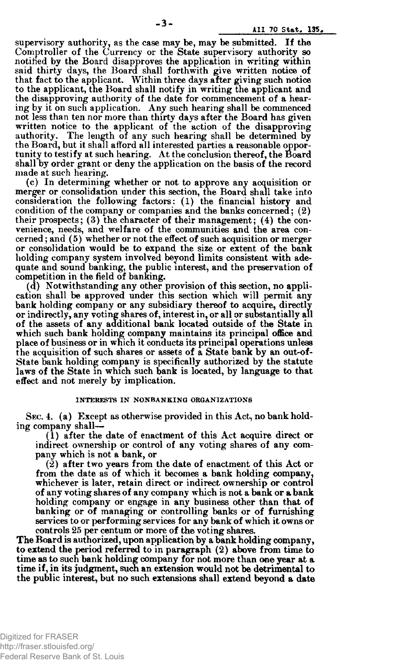**supervisory authority, as the case may be, may be submitted. If the Comptroller of the Currency or the State supervisory authority so notified by the Board disapproves the application in writing within said thirty days, the Board shall forthwith give written notice of that fact to the applicant. Within three days after giving such notice to the applicant, the Board shall notify in writing the applicant and the disapproving authority of the date for commencement of a hearing by it on such application. Any such hearing shall be commenced not less than ten nor more than thirty days after the Board has given written notice to the applicant of the action of the disapproving authority. The length of any such hearing shall be determined by the Board, but it shall afford all interested parties a reasonable opportunity to testify at such hearing. At the conclusion thereof, the Board shall by order grant or deny the application on the basis of the record made at such hearing.**

**(c) In determining whether or not to approve any acquisition or merger or consolidation under this section, the Board shall take into consideration the following factors: (1) the financial history and condition of the company or companies and the banks concerned; (2) their prospects; (3) the character of their management; (4) the convenience, needs, and welfare of the communities and the area concerned ; and (5) whether or not the effect of such acquisition or merger or consolidation would be to expand the size or extent of the bank holding company system involved beyond limits consistent with adequate and sound banking, the public interest, and the preservation of competition in the field of banking.**

**(d) Notwithstanding any other provision of this section, no application shall be approved under this section which will permit any bank holding company or any subsidiary thereof to acquire, directly or indirectly, any voting shares of, interest in, or all or substantially all of the assets of any additional bank located outside of the State in which such bank holding company maintains its principal office and place of business or in which it conducts its principal operations unless the acquisition of such shares or assets of a State bank by an out-of-State bank holding company is specifically authorized by the statute laws of the State in which such bank is located, by language to that effect and not merely by implication.**

### **INTERESTS IN NONBANKING ORGANIZATIONS**

**S ec. 4. (a) Except as otherwise provided in this Act, no bank holding company shall—**

**(1) after the date of enactment of this Act acquire direct or indirect ownership or control of any voting shares of any company which is not a bank, or**

**(2) after two years from the date of enactment of this Act or** from the date as of which it becomes a bank holding company, **whichever is later, retain direct or indirect ownership or control of any voting shares of any company which is not a bank or a bank holding company or engage in any business other than that of banking or of managing or controlling banks or of furnishing services to or performing services for any bank of which it owns or controls 25 per centum or more of the voting shares.**

**The Board is authorized, upon application by a bank holding company, to extend the period referred to in paragraph (2) above from time to time as to such bank holding company for not more than one year at a time if, in its judgment, sucn an extension would not be detrimental to the public interest, but no such extensions shall extend beyond a date**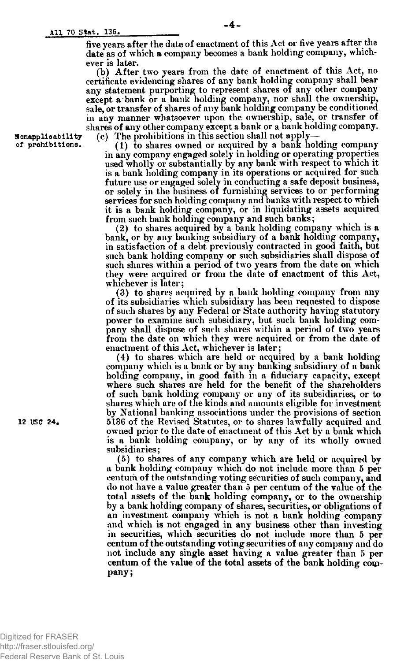**five years after the date of enactment of this Act or five years after the date as of which a company becomes a bank holding company, whichever is later.**

**(b) After two years from the date of enactment of this Act, no certificate evidencing shares of any bank holding company shall bear any statement purporting to represent shares of any other company** except a bank or a bank holding company, nor shall the ownership, **sale, or transfer of shares of any bank holding company be conditioned in any manner whatsoever upon the ownership, sale, or transfer of shares of any other company except a bank or a bank holding company. Nonapplioability (c) The prohibitions in this section shall not apply—**

of prohibitions. (1) to shares owned or acquired by a bank holding company **in any company engaged solely in holding or operating properties used wholly or substantially by any bank with respect to which it is a bank holding company in its operations or acquired for such future use or engaged solely in conducting a safe deposit business, or solely in the Dusiness of furnishing services to or performing services for such holding company and banks with respect to which it is a bank holding company, or in liquidating assets acquired from such bank holding company and such banks;**

**(2) to shares acquired by a bank holding company which is a bank, or by any banking subsidiary of a bank holding company, in satisfaction of a debt previously contracted in good faith, but such bank holding company or such subsidiaries shall dispose of such shares within a period of two years from the date on which they were acquired or from the date of enactment of this Act, whichever is later;**

**(3) to shares acquired by a bank holding company from any of its subsidiaries which subsidiary has been requested to dispose of such shares by any Federal or State authority having statutory power to examine such subsidiary, but such bank holding company shall dispose of such shares within a period of two years from the date on which they were acquired or from the date of enactment of this Act, whichever is later;**

**(4) to shares which are held or acquired by a bank holding** company which is a bank or by any banking subsidiary of a bank **holding company, in good faith in a fiduciary capacity, except where such shares are held for the benefit of the shareholders of such bank holding company or any of its subsidiaries, or to shares which are of the kinds and amounts eligible for investment by National banking associations under the provisions of section** 12 use 24. **5136 of the Revised Statutes, or to shares lawfully acquired and owned prior to the date of enactment of this Act by a bank which is a bank holding company, or by any of its wholly owned subsidiaries;**

> **(5) to shares of any company which are held or acquired by a bank holding company which do not include more than 5 per centum of the outstanding voting securities of such company, and do not have a value greater than 5 per centum of the value of the total assets of the bank holding company, or to the ownership by a bank holding company of shares, securities, or obligations of an investment company which is not a bank holding company and which is not engaged in any business other than investing in securities, which securities do not include more than 5 per centum of the outstanding voting securities of any company and do not include any single asset having a value greater than 5 per** centum of the value of the total assets of the bank holding com**pany;**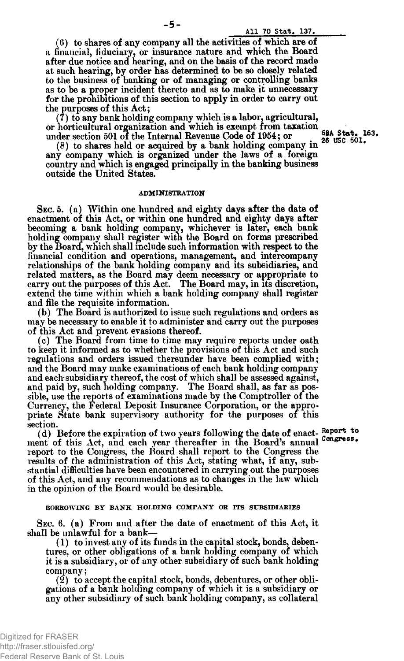All 70 Stat. 137.

**(6) to shares of any company all the activities of which are of a financial, fiduciary, or insurance nature and which the Board after due notice and hearing, and on the basis of the record made at such hearing, by order has determined to be so closely related to the business of banking or of managing or controlling banks as to be a proper incident thereto and as to make it unnecessary for the prohibitions of this section to apply in order to carry out the purposes of this Act;**

**(7) to any bank holding company which is a labor, agricultural, or horticultural organization and which is exempt from taxation under section** 501 **of the Internal Revenue Code of** 1954; **or**

**(8) to shares held or acquired by a bank holding company in any company which is organized under the laws of a foreign country and which is engaged principally in the banking business outside the United States.**

### **ADMINISTRATION**

Sec. 5. **(a) Within one hundred and eighty days after the date of enactment of this Act, or within one hundred ana eighty days after becoming a bank holding company, whichever is later, each bank holding company shall register with the Board on forms prescribed by the** Board, **which shall include such information with respect to the financial condition and operations, management, and intercompany relationships of the bank holding company and its subsidiaries, and related matters, as the Board may deem necessary or appropriate to carry out the purposes of this Act. The Board may, in its discretion, extend the time within which a bank holding company shall register and file the requisite information.**

**(b) The Board is authorized to issue such regulations and orders as may be necessary to enable it to administer and carry out the purposes of this Act and prevent evasions thereof.**

**(c) The Board from time to time may require reports under oath to keep it informed as to whether the provisions of this Act and such regulations and orders issued thereunder have been complied with; and the Board may make examinations of each bank holding company and each subsidiary thereof, the cost of which shall be assessed against, and paid by, such holding company. The Board shall, as far as possible, use the reports of examinations made by the Comptroller of the Currency, the Federal Deposit Insurance Corporation, or the appropriate State bank supervisory authority for the purposes of this section.**

**(d) Before the expiration of two years following the date of enact-**Report to **ment of this Act, and each year thereafter in the Board's annual** Congress. **report to the Congress, the Board shall report to the Congress the results of the administration of this Act; stating what, if any, substantial difficulties have been encountered m carrying out the purposes of this Act, and any recommendations as to changes in the law which in the opinion of the Board would be desirable.**

**BORROWING BY BANK HOLDING COMPANY OR ITS SUBSIDIARIES**

**S ec. 6. (a) From and after the date of enactment of this Act, it shall be unlawful for a bank—**

**(1) to invest any of its funds in the capital stock, bonds, debentures, or other obligations of a bank holding company of which it is a subsidiary, or of any other subsidiary of such bank holding company;**

**(2) to accept the capital stock, bonds, debentures, or other obligations of a bank holding company of which it is a subsidiary or any other subsidiary of such bank holding company, as collateral**

68A Stat. 163. 26 USC 501.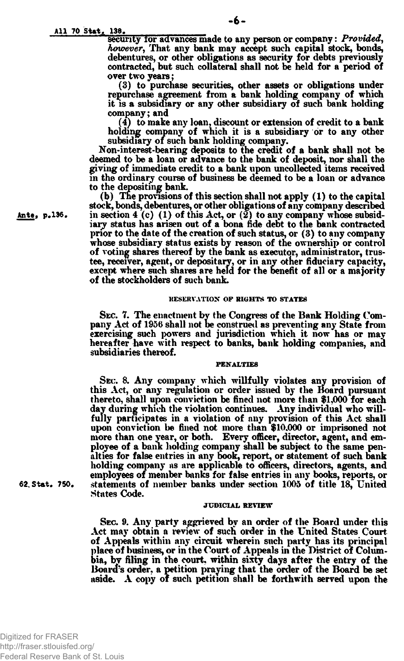All 70 Stat. 138.

~ security tor advances made to any person or company: *Provided*, *however,* That any bank may accept such capital stock, bonds, debentures, or other obligations as security for debts previously contracted, but such collateral shall not be held for a period of over two years;

(3) to purchase securities, other assets or obligations under repurchase agreement from a bank holding company of which it is a subsidiary or any other subsidiary of such bank holding company; and

(4) to make any loan, discount or extension of credit to a bank holding company of which it is a subsidiary or to any other subsidiary of such bank holding company.

Non-interest-bearing deposits to the credit of a bank shall not be deemed to be a loan or advance to the bank of deposit, nor shall the giving of immediate credit to a bank upon uncollected items received in the ordinary course of business be deemed to be a loan or advance to the depositing bank.

(b) The provisions of this section shall not apply (1) to the capital stock, bonds, debentures, or other obligations of any company described Ante, p. 136. in section 4 (c) (1) of this Act, or  $(\tilde{2})$  to any company whose subsidiary status has arisen out of a bona fide debt to the bank contracted prior to the date of the creation of such status, or (3) to any company whose subsidiary status exists by reason of the ownership or control of voting shares thereof by the bank as executor, administrator, trustee, receiver, agent, or depositary, or in any other fiduciary capacity, except where such shares are held for the benefit of all or a majority of the stockholders of such bank.

## RESERVATION OF RIGHTS TO STATES

Sec. 7. The enactment by the Congress of the Bank Holding Company Act of 1956 shall not be construed as preventing any State from exercising such powers and jurisdiction which it now has or may hereafter have with respect to banks, bank holding companies, and subsidiaries thereof.

### PENALTIES

Sec. 8. Any company which willfully violates any provision of this Act, or any regulation or order issued by the Board pursuant thereto, shall upon conviction be fined not more than \$1,000 for each day during which the violation continues. Any individual who willfully participates in a violation of any provision of this Act shall upon conviction be fined not more than \$10,000 or imprisoned not more than one year, or both. Every officer, director, agent, and employee of a bank holding company shall be subject to the same penalties for false entries in any book, report, or statement of such bank holding company as are applicable to officers, directors, agents, and employees of member banks for false entries in any books, reports, or 62. Stat. 750. statements of member banks under section 1005 of title 18, United States Code.

#### JUDICIAL REVIEW

Sec. 9. Any party aggrieved by an order of the Board under this Act may obtain a review of such order in the United States Court of Appeals within any circuit wherein such party has its principal place of business, or in the Court of Appeals in the District of Columbia, bv filing in the court, within sixty days after the entry of the Board's order, a petition praying that the order of the Board be set aside. A copy of such petition shall be forthwith served upon the

Digitized for FRASER http://fraser.stlouisfed.org/ Federal Reserve Bank of St. Louis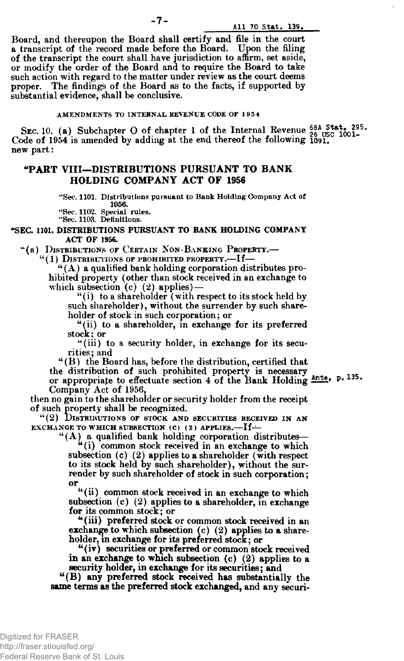**Board, and thereupon the Board shall certify and file in the court a transcript of the record made before the Board. Upon the filing of the transcript the court shall have jurisdiction to affirm, set aside, or modify the order of the Board and to require the Board to take such action with regard to the matter under review as the court deems proper. The findings of the Board as to the facts, if supported by substantial evidence, shall be conclusive.**

#### **AMENDMENTS TO INTERNAL REVENUE CODE OF 195 4**

Sec. 10. (a) Subchapter O of chapter 1 of the Internal Revenue  $\frac{56}{26}$  is  $\frac{50}{100}$ . Code of 1954 is amended by adding at the end thereof the following  $\tilde{1091}$ . **new part:**

# **"PART VIII—DISTRIBUTIONS PURSUANT TO BANK HOLDING COMPANY ACT OF 1956**

" Sec. 1101. Distributions pursuant to Bank Holding Company Act of 1956.

" Sec. 1102. Special rules. " Sec. 1103. Definitions.

# "SEC. 1101. DISTRIBUTIONS PURSUANT TO BANK HOLDING COMPANY ACT OF 1956.

**"(a) D istributions of C ertain N o n -B a n k in g P roperty.—**

**" (1 ) D istributions of prohibited property.— I f—**

**" (A) a qualified bank holding corporation distributes prohibited property (other than stock received in an exchange to which subsection (c) (2) applies)—**

**" (i) to a shareholder (with respect to its stock held by such shareholder), without the surrender by such shareholder of stock in such corporation; or**

**" (ii) to a shareholder, m exchange for its preferred stock; or**

**" (iii) to a security holder, in exchange for its securities; and**

**" (B) the Board has, before the distribution, certified that the distribution of such prohibited property is necessary** or appropriate to effectuate section 4 of the Bank Holding Ante, p. 135. **Company Act of 1956,**

**then no gain to the shareholder or security holder from the receipt of such property shall be recognized.**

**" (2) D istributions of stock a n d securities received i n a n EXCHANGE TO WHICH SUBSECTION (C) (2) APPLIES.—If—** 

**" (A) ft qualified bank holding corporation distributes— " (i) common stock received in an exchange to which subsection (c) (2) applies to a shareholder (with respect**

to its stock held by such shareholder), without the sur**render by such shareholder of stock in such corporation; or**

**" (ii) common stock received in an exchange to which subsection (c) (2) applies to a shareholder, in exchange for its common stock; or**

**" (iii) preferred stock or common stock received in an exchange to which subsection (c) (2) applies to a shareholder, in exchange for its preferred stock; or**

**" (iv) securities or preferred or common stock received in an exchange to which subsection (c) (2) applies to a security holder, in exchange for its securities; and**

**" (B) any preferred stock received has substantially the same terms as the preferred stock exchanged, and any securi-**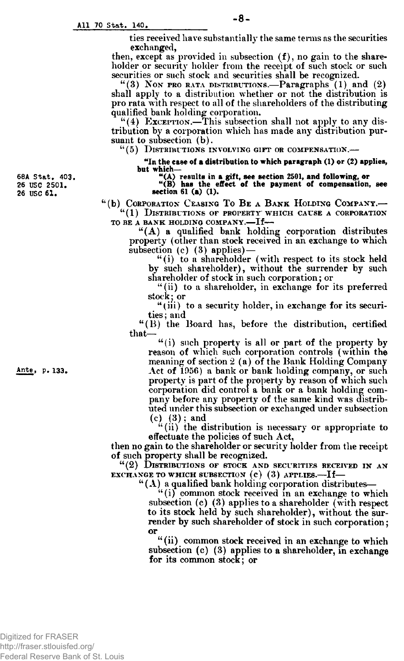**ties received have substantially the same terms as the securities exchanged,**

**then, except as provided in subsection (f), no gain to the shareholder or security holder from the receipt of such stock or such securities or such stock and securities shall be recognized.**

"(3) NON PRO RATA DISTRIBUTIONS. Paragraphs (1) and (2) **shall apply to a distribution whether or not the distribution is pro rata with respect to all of the shareholders of the distributing qualified bank holding corporation.**

"(4) **Excertion.—This subsection shall not apply to any dis**tribution by a corporation which has made any distribution pur**suant to subsection (b).**

"(5) DISTRIBUTIONS INVOLVING GIFT OR COMPENSATION.-

"In the case of a distribution to which paragraph (1) or (2) applies, but which—

"(A) results in a gift, see section 2501, and following, or "(B) has the effect of the payment of compensation, see

section 61 (a) (1).

**" (b) C orporation C easing To Be a B a n k H olding C o m p a n y .—**

"(1) DISTRIBUTIONS OF PROPERTY WHICH CAUSE A CORPORATION **TO BE A BANK HOLDING COMPANY.—I f-**

**" (A) a qualified bank holding corporation distributes property (other than stock received in an exchange to which subsection (c) (3) applies)—**

**" (i) to a shareholder (with respect to its stock held by such shareholder), without the surrender by such shareholder of stock in such corporation; or**

**" (ii) to a shareholder, in exchange for its preferred stock j or**

**" (iii) to a security holder, in exchange for its securities; and**

**W(B) the Board has, before the distribution, certified that—**

**" (i) such property is all or part of the property by reason of which such corporation controls (within the meaning of section** *2* **(a) of the Bank Holding Company Act of 195G) a bank or bank holding company, or sucn property is part of the property by reason of which such corporation did control a bank or a bank holding company before any property of the same kind was distributed under this subsection or exchanged under subsection (c) (3); and**

**" (ii) the distribution is necessary or appropriate to effectuate the policies of such Act,**

**then no gain to the shareholder or security holder from the receipt of such property shall be recognized.**

**" (2 ) D istributions or stock a n d securities received in a n EXCHANGE TO W HICH SUBSECTION (c) (3) APPLIES.—If—**

**" (A) a qualified bank holding corporation distributes—**

"(i) common stock received in an exchange to which **subsection (c) (3) applies to a shareholder (with respect to its stock held by such shareholder), without the surrender by such shareholder of stock in such corporation; or**

**" (ii) common stock received in an exchange to which subsection (c) (3) applies to a shareholder, in exchange for its common stock; or**

**68A S t a t . 403. 26 USC 2 501. 26 USC 6 1 .**

**Ante, p. 133,**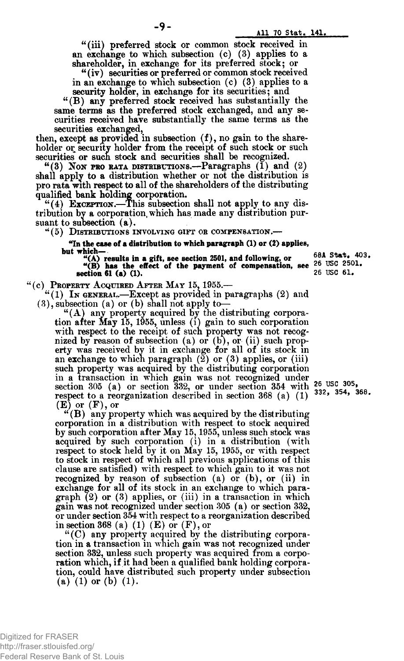**" (iii) preferred stock or common stock received in an exchange to which subsection (c) (3) applies to a shareholder, in exchange for its preferred stock; or**

**" (iv) securities or preferred or common stock received in an exchange to which subsection (c) (3) applies to a security holder, in exchange for its securities; and**

**" (B) any preferred stock received has substantially the same terms as the preferred stock exchanged, and any securities received have substantially the same terms as the securities exchanged,**

**then, except as provided in subsection (f), no gain to the shareholder or security holder from the receipt of such stock or such** securities or such stock and securities shall be recognized.

**"(3) Non PRO RATA DISTRIBUTIONS.—Paragraphs (1) and (2) shall apply to a distribution whether or not the distribution is pro rata with respect to all of the shareholders of the distributing qualified bank holding corporation.**

"(4) **EXCEPTION.**—This subsection shall not apply to any dis**tribution by a corporation, which has made any distribution pursuant to subsection (a).**

 $\cdot$  (5) DISTRIBUTIONS INVOLVING GIFT OR COMPENSATION.

"In the case of a distribution to which paragraph  $(1)$  or  $(2)$  applies, but which—

"(A) results in a gift, see section 2501, and following, or<br>"(B) has the effect of the payment of compensation, see  $26 \text{ USC } 2501$ ,<br>section 61 (a) (1).  $26 \text{ USC } 61$ ,

" (c) **PROPERTY ACQUIRED AFTER MAY 15, 1955.—** 

"(1) In GENERAL.-Except as provided in paragraphs (2) and **(3), subsection (a) or (b) snail not apply to—**

*" (A)* **any property acquired by the distributing corporation alter May 15, 1955, unless (i) gain to such corporation with respect to the receipt of such property was not recognized by reason of subsection (a) or (b), or (ii) such property was received by it in exchange for all of its stock in an exchange to which paragraph (2) or (3) applies, or (iii) such property was acquired by the distributing corporation in a transaction in which gain was not recognized under** section  $305$  (a) or section  $332$ , or under section  $354$  with  $26 \text{ US } 305$ , **respect to a reorganization described in section 368 (a) (1) (E) or (F), or**

**" (B) any property which was acquired by the distributing corporation in a distribution with respect to stock acquired** by such corporation after May 15, 1955, unless such stock was **acquired by such corporation (i) in a distribution (with respect to stock held by it on May 15, 1955, or with respect to stock in respect of which all previous applications of this clause are satisfied) with respect to which gain to it was not recognized by reason of subsection (a) or (b), or (ii) in exchange for all of its stock in an exchange to which paragraph (2) or (3) applies, or (iii) in a transaction in which gain was not recognized under section 305 (a) or section 332, or under section 354 with respect to a reorganization described in section 368 (a) (1) (E) or (F),or**

**" (C) any property acquired by the distributing corporation in a transaction in which gain was not recognized under section 332, unless such property was acquired from a corporation which, if it had been a qualified bank holding corporation, could have distributed such property under subsection (a) (1) or (b) (1).**

Digitized for FRASER http://fraser.stlouisfed.org/ Federal Reserve Bank of St. Louis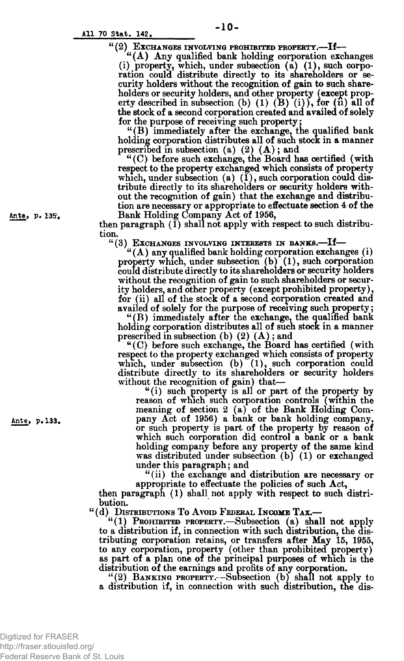"(2) EXCHANGES INVOLVING PROHIBITED PROPERTY.---If-

**" (A) Any qualified bank holding corporation exchanges (i) property, which, under subsection (a) (1), such corporation could distribute directly to its shareholders or security holders without the recognition of gain to such shareholders or security holders, and other property (except prop**erty described in subsection (b)  $(1)$   $(B)$  $(i)$ ), for  $(ii)$  all of **the stock of a second corporation created and availed of solely for the purpose of receiving such property;**

**" (B) immediately after the exchange, the qualified bank holding corporation distributes all of such stock in a manner prescribed in subsection (a) (2) ( A ) ; and**

**" (C) before such exchange, the Board has certified (with respect to the property exchanged which consists of property** which, under subsection (a) (1), such corporation could dis**tribute directly to its shareholders or security holders without the recognition of gain) that the exchange and distribution are necessary or appropriate to effectuate section 4 of the Bank Holding Company Act of 1956,**

**then paragraph (1) shall not apply with respect to such distribution.**

**" ( 3 ) E x c h a n g e s i n v o l v in g in t e r e s t s i n b a n k s .— I f —**

**" (A) any qualified bank holding corporation exchanges (i) property which, under subsection (b) (1), such corporation could distribute directly to its shareholders or security holders without the recognition of gain to such shareholders or security holders, and other property (except prohibited property), for (ii) all of the stock of a second corporation created and availed of solely for the purpose of receiving such property;**

**" (B) immediately after the exchange, the qualified bank holding corporation distributes all of such stock in a manner prescribed in subsection (b) (2) (A ) ; and**

**" (C) before such exchange, the Board has certified (with respect to the property exchanged which consists of property which, under subsection (b) (1), such corporation could distribute directly to its shareholders or security holders without the recognition of gain) that—**

**" (i) such property is all or part of the property by reason of which such corporation controls (within the meaning of section 2 (a) of the Bank Holding Company Act of 1956) a bank or bank holding company, or such property is part of the property by reason of which such corporation did control a bank or a bank holding company before any property of the same kind was distributed under subsection (b) (1) or exchanged under this paragraph; and**

**" (ii) the exchange and distribution are necessary or appropriate to effectuate the policies of such Act,**

**then paragraph (1) shall not apply with respect to such distribution.**

" (d) DISTRIBUTIONS TO AVOID FEDERAL INCOME TAX.

"(1) PROHIBITED PROPERTY.—Subsection (a) shall not apply **to a distribution if, in connection with such distribution, the distributing corporation retains, or transfers after May 15, 1955, to any corporation, property (other than prohibited property) as part of a plan one of the principal purposes of which is the distribution of the earnings and profits of any corporation.**

**" ( 2 ) B a n k i n g p r o p e r t y .—Subsection (b) shall not apply to a distribution if, in connection with such distribution, the dis-**

Ante, p. 135.

Ante, p.133.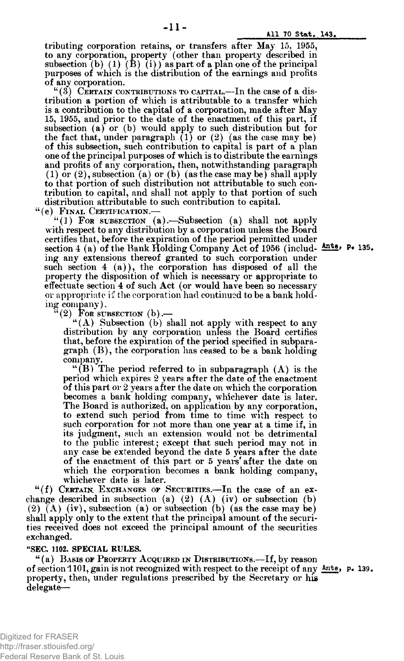**tributing corporation retains, or transfers after May 15, 1955, to any corporation, property (other than property described in subsection (b) (1) (B) (i)) as part of a plan one of the principal purposes of which is the distribution of the earnings and profits of any corporation.**

"(3) CERTAIN CONTRIBUTIONS TO CAPITAL.—In the case of a dis**tribution a portion of which is attributable to a transfer which is a contribution to the capital of a corporation, made after May 15, 1955, and prior to the date of the enactment of this part, if subsection (a) or (b) would apply to such distribution but for the fact that, under paragraph (1) or (2) (as the case may be) of this subsection, such contribution to capital is part of a plan one of the principal purposes of which is to distribute the earnings and profits of any corporation, then, notwithstanding paragraph (1) or (2), subsection (a) or (b) (as the case may be) shall apply to that portion of such distribution not attributable to such contribution to capital, and shall not apply to that portion of such distribution attributable to such contribution to capital.**

<sup>"</sup>(e) FINAL CERTIFICATION.-

"(1) FOR SUBSECTION (a).—Subsection (a) shall not apply **with respect to any distribution by a corporation unless the Board certifies that, before the expiration of the period permitted under** section 4 (a) of the Bank Holding Company Act of 1956 (includ- Ante, P. 135. **ing any extensions thereof granted to such corporation under such section 4 (a)), the corporation has disposed of all the property the disposition of which is necessary or appropriate to effectuate section 4 of such Act (or would have been so necessary or appropriate if the corporation had continued to be a bank holding company).**

**"**(2) **F**or subsection (b).—

**" (A) Subsection (b) shall not apply with respect to any distribution by any corporation unless the Board certifies that, before the expiration of the period specified in subparagraph (B), the corporation has ceased to be a bank holding company.**

**" (B) The period referred to in subparagraph (A) is the period which expires 2 years after the date of the enactment of this part or 2 years after the date on which the corporation becomes a bank holding company, whichever date is later. The Board is authorized, on application by any corporation, to extend such period from time to time with respect to such corporation for not more than one year at a time if, in its judgment, such an extension would not be detrimental to the public interest; except that such period may not in any case be extended beyond the date 5 years after the date of the enactment of this part or 5 years\* after the date on which the corporation becomes a bank holding company, whichever date is later.**

"(f) CERTAIN EXCHANGES OF SECURITIES. In the case of an ex**change described in subsection (a) (2) (A) (iv) or subsection (b) (2) (A) (iv), subsection (a) or subsection (b) (as the ease may be) shall apply only to the extent that the principal amount of the securities received does not exceed the principal amount of the securities exchanged.**

"SEC. 1102. SPECIAL RULES.

"(a) BASIS OF PROPERTY ACQUIRED IN DISTRIBUTIONS.—If, by reason **of section4101, gain is not recognized with respect to the receipt of any Ante, p.** 139. **property, then, under regulations prescribed by the Secretary or his delegate—**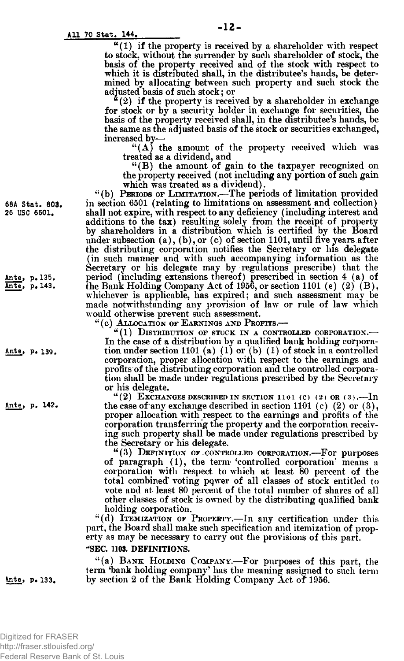**" (1) if the property is received by a shareholder with respect to stock, without the surrender by sudi shareholder of stock, the basis of the property received and of the stock with respect to which it is distributed shall, in the distributee's hands, be determined by allocating between such property and such stock the adjusted basis of such stock; or**

**" (2) if the property is received by a shareholder in exchange for stock or by a security holder in exchange for securities, the basis of the property received shall, in the distributee's hands, be the same as the adjusted basis of the stock or securities exchanged, increased by—**

**" (A) the amount of the property received which was treated as a dividend, and**

**" (B) the amount of gain to the taxpayer recognized on the property received (not including any portion of such gain which was treated as a dividend).**

**" (b) P eriods of L im it a t io n .—The periods of limitation provided in section 6501 (relating to limitations on assessment and collection) shall not expire, with respect to any deficiency (including interest ana additions to the tax) resulting solely from the receipt of property by shareholders in a distribution which is certified by the Board under subsection (a), (b), or (c) of section 1101, until five years after the distributing corporation notifies the Secretary or his delegate (in such manner and with such accompanying information as the Secretary or his delegate may by regulations prescribe) that the period (including extensions thereof) prescribed in section 4 (a) of the Bank Holding Company Act of 1956, or section 1101 (e) (2) (B ), whichever is applicable, has expired; and such assessment may be made notwithstanding any provision of law or rule of law which would otherwise prevent such assessment.**

**44 (c) A llocation of E arnings an d P rofits.—**

**" (1) D istribution of stock in a controlled corporation.— In the case of a distribution by a qualified bank holding corporation under section 1101 (a) (1) or (b) (1) of stock in a controlled corporation, proper allocation with respect to the earnings and profits of the distributing corporation and the controlled corporation shall be made under regulations prescribed by the Secretary or his delegate.**

**" (2) E xchanges described in section hoi (o (**<sup>2</sup> **) or (3).—In the case of any exchange described in section 1101 (c) (2) or (3), proper allocation with respect to the earnings and profits of the corporation transferring the property and the corporation receiving such property shall be made under regulations prescribed by the Secretary or his delegate.**

**" (3) D e fin itio n of controlled corporation.— For purposes** of paragraph (1), the term 'controlled corporation' means a **corporation with respect to which at least 80 percent of the total combined' voting pqwer of all classes of stock entitled to vote and at least 80 percent of the total number of shares of all other classes of stock is owned by the distributing qualified bank holding corporation.**

**"(d) I tem ization of P roperty.— In any certification under this part, the Board shall make such specification and itemization of property as may be necessary to carry out the provisions of this part.**

# "SEC. 1103. DEFINITIONS.

**" (a) B a n k H olding C o m p a n y .—For purposes of this part, the term 'bank holding company' has the meaning assigned to such term by section 2 of the Bank Holding Company Act of 1956.**

**68A Stat. 803. 26 USC 6501.**

**Ante, p . 135. Ante, p . 143.**

Ante, **p. 139.** 

**Ante, p. 142#**

**A n te, p .** 133**.**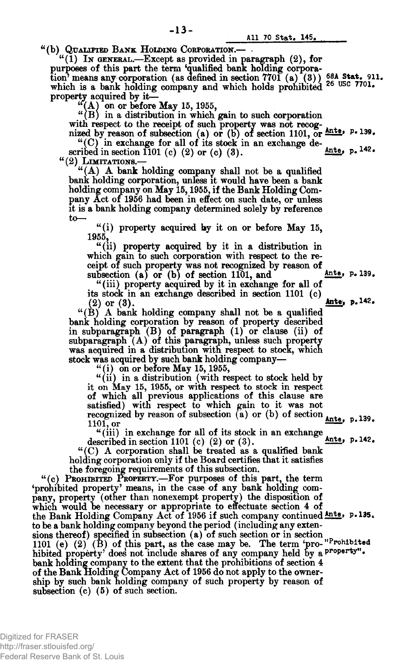"(b) Qualified Bank Holding Corporation.—

**" ( 1 ) I n g e n e r a l .—Except as provided in paragraph ( 2 ) , for purposes of this part the term 'qualified bank holding corporation' means any corporation (as defined in section 7701 (a) (3) ) stat. 9 11.** which is a bank holding company and which holds prohibited <sup>20</sup> use 7701. **property acquired by it—-**

**" (A^ on or before May 15,1955,**

**" (B) in a distribution in which gain to such corporation with respect to the receipt of such property was not recog-**

nized by reason of subsection (a) or (b) of section 1101, or **Ante**, P. 139. **" (C) in exchange for all of its stock in an exchange de-**

**scribed in section 1101 (c) (2) or (c) (3).**  $\frac{\text{angle}}{\text{angle}}$  **P.**  $\frac{1+2}{2}$ <sup>"</sup>(2) LIMITATIONS.

**" (A) A bank holding company shall not be a qualified bank holding corporation, unless it would have been a bank holding company on May 15,1955, if the Bank Holding Com**pany Act of 1956 had been in effect on such date, or unless **it is a bank holding company determined solely by reference to—**

**" (i) property acquired by it on or before May 15, 1955,**

**" (ii) property acquired by it in a distribution in which gain to such corporation with respect to the receipt of such property was not recognized by reason of** subsection (a) or (b) of section 1101, and **Ante**, P. 139.

**" (iii) property acquired by it in exchange for all of its stock in an exchange described in section 1101 (c)** (2) or (3). *Ante, p.* 142.

**" (B) A bank holding company shall not be a qualified bank holding corporation by reason of property described in subparagraph (B) of paragraph (1) or clause (ii) of subparagraph (A) of this paragraph, unless such property was acquired in a distribution with respect to stock, which stock was acquired by such bank holding company—**

**" (i) on or before May 15, 1955,**

**" (ii) in a distribution (with respect to stock held by it on May 15, 1955, or with respect to stock in respect of which all previous applications of this clause are satisfied) with respect to which gain to it was not recognized by reason of subsection (a) or (b) of section**  $\mathbf{A}$ **1101, or p 1101**, **or p 139, p 139, p 139, p 139, p 139, p 139, p 139, p 139, p 139, p 139, p 139, p 139, p 139, p 139, p 139, p 139, p 139, p 13** 

**" (iii) in exchange for all of its stock in an exchange** described in section 1101 (c) (2) or (3).

**" (C) A corporation shall be treated as a qualified bank holding corporation only if the Board certifies that it satisfies the foregoing requirements of this subsection.**

"(c) PROHIBITED PROPERTY.—For purposes of this part, the term **'prohibited property' means, in the case of any bank holding company, property (other than nonexempt property) the disposition of which would be necessary or appropriate to effectuate section 4 of** the Bank Holding Company Act of 1956 if such company continued Ante, p.135. **to be a bank holding company beyond the period (including any extensions thereof) specified in subsection (a) of such section or in section** 1101 (e) (2) (B) of this part, as the case may be. The term 'pro-"Prohibited hibited property' does not include shares of any company held by a **Property**". **bank holding company to the extent that the prohibitions of section 4 of the Bank Holding Company Act of 1956 do not apply to the ownership by such bank nolding company of such property by reason of subsection (c) (5) of such section.**